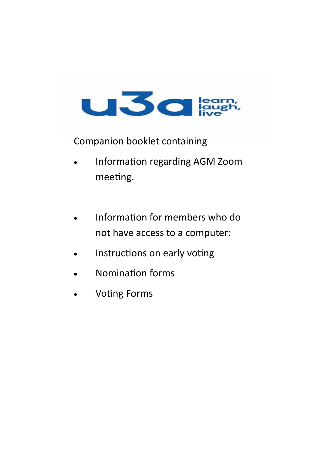

Companion booklet containing

- Information regarding AGM Zoom meeting.
- Information for members who do not have access to a computer:
- Instructions on early voting
- Nomination forms
- Voting Forms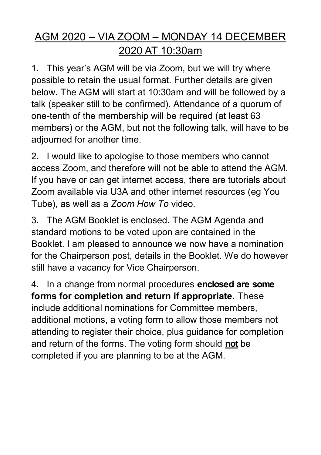# AGM 2020 – VIA ZOOM – MONDAY 14 DECEMBER 2020 AT 10:30am

1. This year's AGM will be via Zoom, but we will try where possible to retain the usual format. Further details are given below. The AGM will start at 10:30am and will be followed by a talk (speaker still to be confirmed). Attendance of a quorum of one-tenth of the membership will be required (at least 63 members) or the AGM, but not the following talk, will have to be adjourned for another time.

2. I would like to apologise to those members who cannot access Zoom, and therefore will not be able to attend the AGM. If you have or can get internet access, there are tutorials about Zoom available via U3A and other internet resources (eg You Tube), as well as a *Zoom How To* video.

3. The AGM Booklet is enclosed. The AGM Agenda and standard motions to be voted upon are contained in the Booklet. I am pleased to announce we now have a nomination for the Chairperson post, details in the Booklet. We do however still have a vacancy for Vice Chairperson.

4. In a change from normal procedures **enclosed are some forms for completion and return if appropriate.** These include additional nominations for Committee members, additional motions, a voting form to allow those members not attending to register their choice, plus guidance for completion and return of the forms. The voting form should **not** be completed if you are planning to be at the AGM.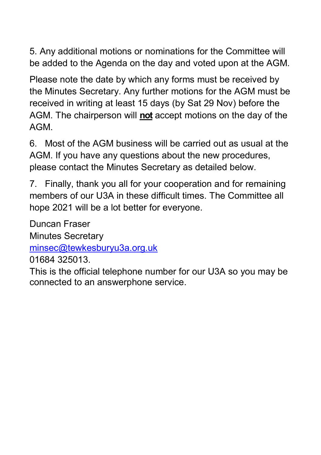5. Any additional motions or nominations for the Committee will be added to the Agenda on the day and voted upon at the AGM.

Please note the date by which any forms must be received by the Minutes Secretary. Any further motions for the AGM must be received in writing at least 15 days (by Sat 29 Nov) before the AGM. The chairperson will **not** accept motions on the day of the AGM.

6. Most of the AGM business will be carried out as usual at the AGM. If you have any questions about the new procedures, please contact the Minutes Secretary as detailed below.

7. Finally, thank you all for your cooperation and for remaining members of our U3A in these difficult times. The Committee all hope 2021 will be a lot better for everyone.

Duncan Fraser Minutes Secretary

[minsec@tewkesburyu3a.org.uk](mailto:minsec@tewkesburyu3a.org.uk)

01684 325013.

This is the official telephone number for our U3A so you may be connected to an answerphone service.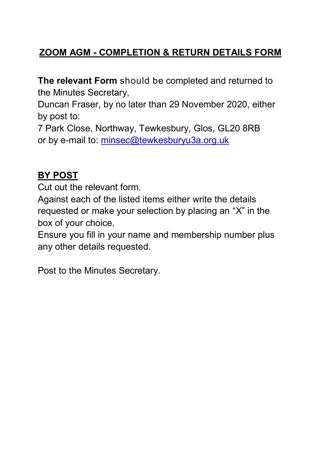## **ZOOM AGM - COMPLETION & RETURN DETAILS FORM**

**The relevant Form** should be completed and returned to the Minutes Secretary,

Duncan Fraser, by no later than 29 November 2020, either by post to:

7 Park Close, Northway, Tewkesbury, Glos, GL20 8RB or by e-mail to: [minsec@tewkesburyu3a.org.uk](mailto:minsec@tewkesburyu3a.org.uk)

## **BY POST**

Cut out the relevant form.

Against each of the listed items either write the details requested or make your selection by placing an "X" in the box of your choice.

Ensure you fill in your name and membership number plus any other details requested.

Post to the Minutes Secretary.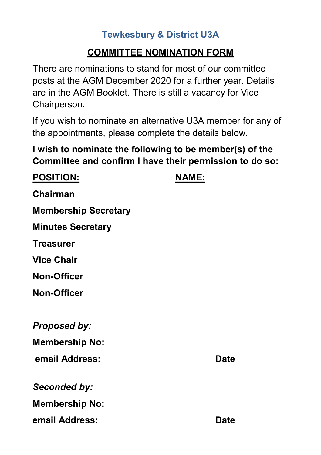## **Tewkesbury & District U3A**

## **COMMITTEE NOMINATION FORM**

There are nominations to stand for most of our committee posts at the AGM December 2020 for a further year. Details are in the AGM Booklet. There is still a vacancy for Vice Chairperson.

If you wish to nominate an alternative U3A member for any of the appointments, please complete the details below.

**I wish to nominate the following to be member(s) of the Committee and confirm I have their permission to do so:**

| <b>POSITION:</b>            | NAME:       |
|-----------------------------|-------------|
| <b>Chairman</b>             |             |
| <b>Membership Secretary</b> |             |
| <b>Minutes Secretary</b>    |             |
| <b>Treasurer</b>            |             |
| <b>Vice Chair</b>           |             |
| <b>Non-Officer</b>          |             |
| <b>Non-Officer</b>          |             |
|                             |             |
| <b>Proposed by:</b>         |             |
| <b>Membership No:</b>       |             |
| email Address:              | <b>Date</b> |
| Seconded by:                |             |
| <b>Membership No:</b>       |             |
| email Address:              | <b>Date</b> |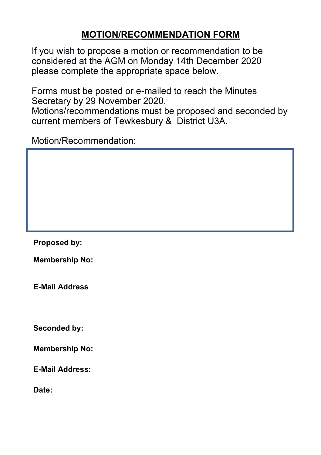## **MOTION/RECOMMENDATION FORM**

If you wish to propose a motion or recommendation to be considered at the AGM on Monday 14th December 2020 please complete the appropriate space below.

Forms must be posted or e-mailed to reach the Minutes Secretary by 29 November 2020. Motions/recommendations must be proposed and seconded by current members of Tewkesbury & District U3A.

Motion/Recommendation:

**Proposed by:**

**Membership No:**

**E-Mail Address**

**Seconded by:** 

**Membership No:**

**E-Mail Address:**

**Date:**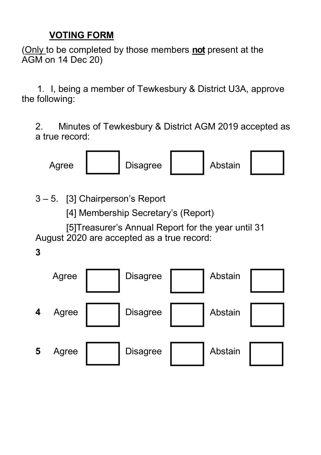## **VOTING FORM**

(Only to be completed by those members **not** present at the AGM on 14 Dec 20)

 1. I, being a member of Tewkesbury & District U3A, approve the following:

2. Minutes of Tewkesbury & District AGM 2019 accepted as a true record:



3 – 5. [3] Chairperson's Report

[4] Membership Secretary's (Report)

 [5]Treasurer's Annual Report for the year until 31 August 2020 are accepted as a true record:

**3**